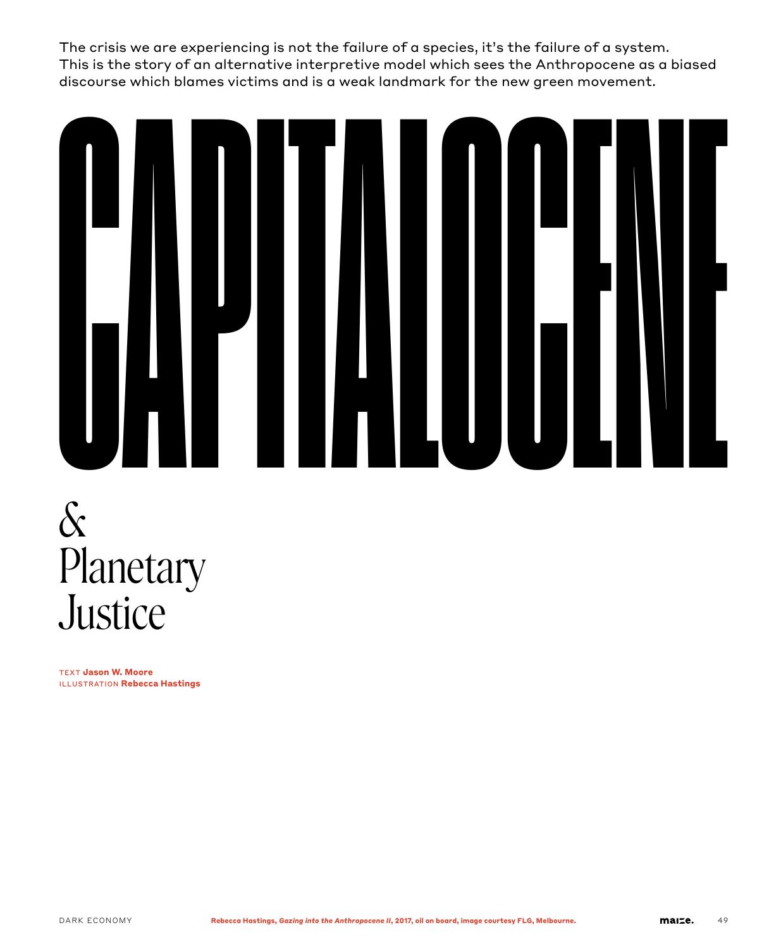The crisis we are experiencing is not the failure of a species, it's the failure of a system. This is the story of an alternative interpretive model which sees the Anthropocene as a biased discourse which blames victims and is a weak landmark for the new green movement.



## & Planetary *Justice*

Text **Jason W. Moore** Illustration **Rebecca Hastings**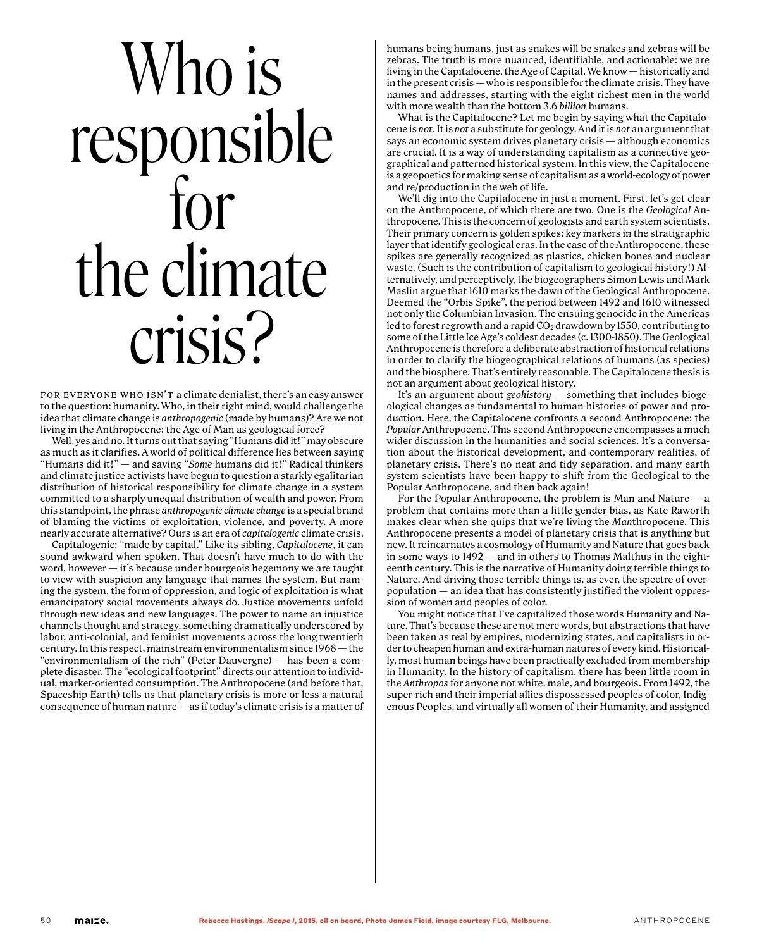## Who is responsible<br>for the climate crisis?

FOR EVERYONE WHO ISN'T a climate denialist, there's an easy answer to the question: humanity. Who, in their right mind, would challenge the idea that climate change is *anthropogenic* (made by humans)? Are we not living in the Anthropocene: the Age of Man as geological force?

Well, yes and no. It turns out that saying "Humans did it!" may obscure as much as it clarifies. A world of political difference lies between saying "Humans did it!" — and saying "*Some* humans did it!" Radical thinkers and climate justice activists have begun to question a starkly egalitarian distribution of historical responsibility for climate change in a system committed to a sharply unequal distribution of wealth and power. From this standpoint, the phrase *anthropogenic climate change* is a special brand of blaming the victims of exploitation, violence, and poverty. A more nearly accurate alternative? Ours is an era of *capitalogenic* climate crisis.

Capitalogenic: "made by capital." Like its sibling, *Capitalocene*, it can sound awkward when spoken. That doesn't have much to do with the word, however — it's because under bourgeois hegemony we are taught to view with suspicion any language that names the system. But naming the system, the form of oppression, and logic of exploitation is what emancipatory social movements always do. Justice movements unfold through new ideas and new languages. The power to name an injustice channels thought and strategy, something dramatically underscored by labor, anti-colonial, and feminist movements across the long twentieth century. In this respect, mainstream environmentalism since 1968 — the "environmentalism of the rich" (Peter Dauvergne) — has been a complete disaster. The "ecological footprint" directs our attention to individual, market-oriented consumption. The Anthropocene (and before that, Spaceship Earth) tells us that planetary crisis is more or less a natural consequence of human nature — as if today's climate crisis is a matter of

humans being humans, just as snakes will be snakes and zebras will be zebras. The truth is more nuanced, identifiable, and actionable: we are living in the Capitalocene, the Age of Capital. We know — historically and in the present crisis — who is responsible for the climate crisis. They have names and addresses, starting with the eight richest men in the world with more wealth than the bottom 3.6 *billion* humans.

What is the Capitalocene? Let me begin by saying what the Capitalocene is *not*. It is *not* a substitute for geology. And it is *not* an argument that says an economic system drives planetary crisis — although economics are crucial. It is a way of understanding capitalism as a connective geographical and patterned historical system. In this view, the Capitalocene is a geopoetics for making sense of capitalism as a world-ecology of power and re/production in the web of life.

We'll dig into the Capitalocene in just a moment. First, let's get clear on the Anthropocene, of which there are two. One is the *Geological* Anthropocene. This is the concern of geologists and earth system scientists. Their primary concern is golden spikes: key markers in the stratigraphic layer that identify geological eras. In the case of the Anthropocene, these spikes are generally recognized as plastics, chicken bones and nuclear waste. (Such is the contribution of capitalism to geological history!) Alternatively, and perceptively, the biogeographers Simon Lewis and Mark Maslin argue that 1610 marks the dawn of the Geological Anthropocene. Deemed the "Orbis Spike", the period between 1492 and 1610 witnessed not only the Columbian Invasion. The ensuing genocide in the Americas led to forest regrowth and a rapid CO<sub>2</sub> drawdown by 1550, contributing to some of the Little Ice Age's coldest decades (c. 1300-1850). The Geological Anthropocene is therefore a deliberate abstraction of historical relations in order to clarify the biogeographical relations of humans (as species) and the biosphere. That's entirely reasonable. The Capitalocene thesis is not an argument about geological history.

It's an argument about *geohistory* — something that includes biogeological changes as fundamental to human histories of power and production. Here, the Capitalocene confronts a second Anthropocene: the *Popular* Anthropocene. This second Anthropocene encompasses a much wider discussion in the humanities and social sciences. It's a conversation about the historical development, and contemporary realities, of planetary crisis. There's no neat and tidy separation, and many earth system scientists have been happy to shift from the Geological to the Popular Anthropocene, and then back again!

For the Popular Anthropocene, the problem is Man and Nature  $-$  a problem that contains more than a little gender bias, as Kate Raworth makes clear when she quips that we're living the *Man*thropocene. This Anthropocene presents a model of planetary crisis that is anything but new. It reincarnates a cosmology of Humanity and Nature that goes back in some ways to 1492 — and in others to Thomas Malthus in the eighteenth century. This is the narrative of Humanity doing terrible things to Nature. And driving those terrible things is, as ever, the spectre of overpopulation — an idea that has consistently justified the violent oppression of women and peoples of color.

You might notice that I've capitalized those words Humanity and Nature. That's because these are not mere words, but abstractions that have been taken as real by empires, modernizing states, and capitalists in order to cheapen human and extra-human natures of every kind. Historically, most human beings have been practically excluded from membership in Humanity. In the history of capitalism, there has been little room in the *Anthropos* for anyone not white, male, and bourgeois. From 1492, the super-rich and their imperial allies dispossessed peoples of color, Indigenous Peoples, and virtually all women of their Humanity, and assigned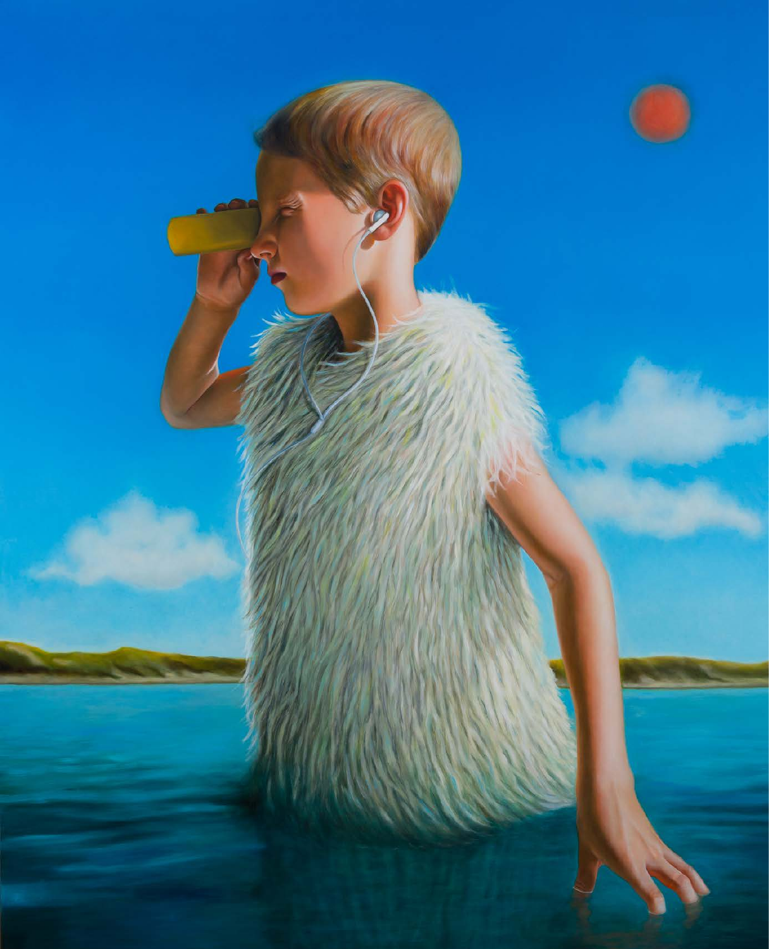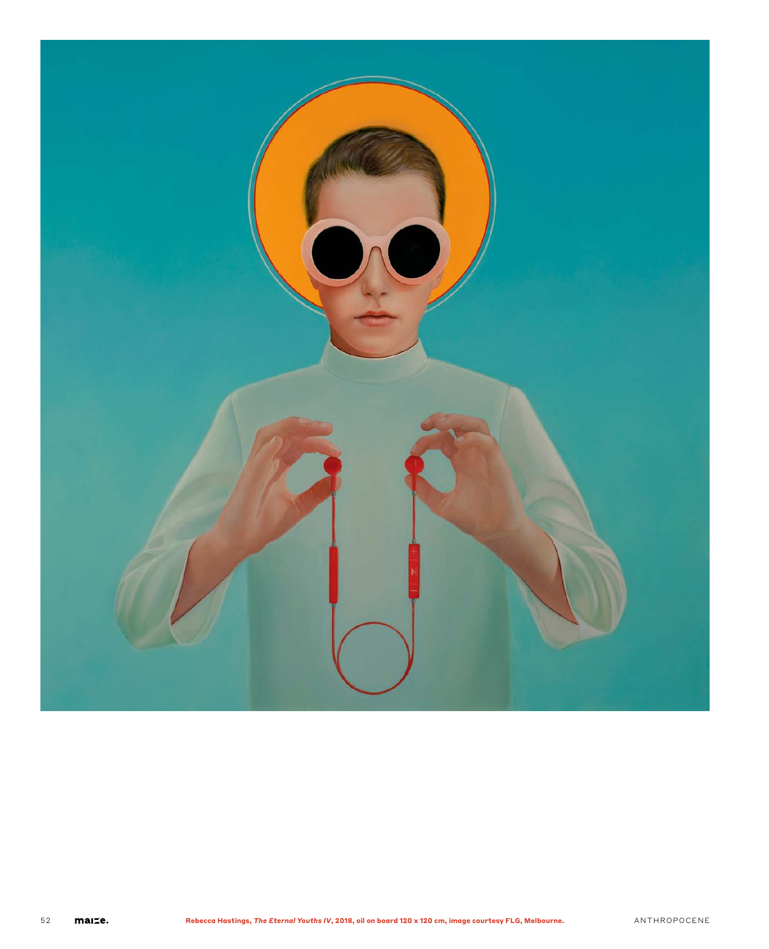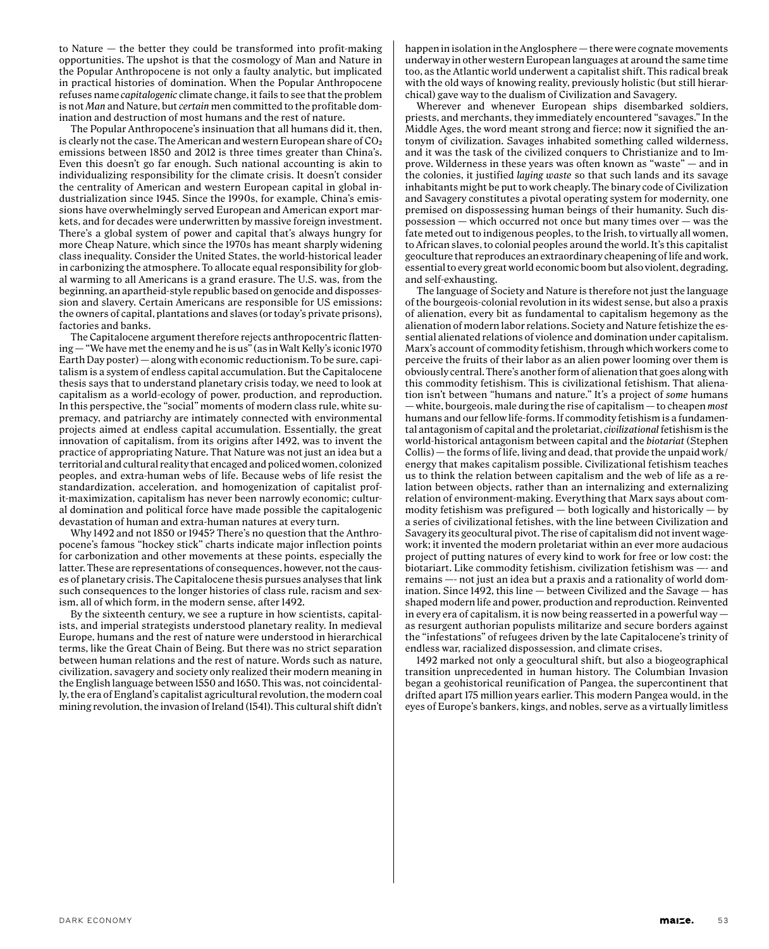to Nature — the better they could be transformed into profit-making opportunities. The upshot is that the cosmology of Man and Nature in the Popular Anthropocene is not only a faulty analytic, but implicated in practical histories of domination. When the Popular Anthropocene refuses name *capitalogenic* climate change, it fails to see that the problem is not *Man* and Nature, but *certain* men committed to the profitable domination and destruction of most humans and the rest of nature.

The Popular Anthropocene's insinuation that all humans did it, then, is clearly not the case. The American and western European share of  $CO<sub>2</sub>$ emissions between 1850 and 2012 is three times greater than China's. Even this doesn't go far enough. Such national accounting is akin to individualizing responsibility for the climate crisis. It doesn't consider the centrality of American and western European capital in global industrialization since 1945. Since the 1990s, for example, China's emissions have overwhelmingly served European and American export markets, and for decades were underwritten by massive foreign investment. There's a global system of power and capital that's always hungry for more Cheap Nature, which since the 1970s has meant sharply widening class inequality. Consider the United States, the world-historical leader in carbonizing the atmosphere. To allocate equal responsibility for global warming to all Americans is a grand erasure. The U.S. was, from the beginning, an apartheid-style republic based on genocide and dispossession and slavery. Certain Americans are responsible for US emissions: the owners of capital, plantations and slaves (or today's private prisons), factories and banks.

The Capitalocene argument therefore rejects anthropocentric flattening — "We have met the enemy and he is us" (as in Walt Kelly's iconic 1970 Earth Day poster) — along with economic reductionism. To be sure, capitalism is a system of endless capital accumulation. But the Capitalocene thesis says that to understand planetary crisis today, we need to look at capitalism as a world-ecology of power, production, and reproduction. In this perspective, the "social" moments of modern class rule, white supremacy, and patriarchy are intimately connected with environmental projects aimed at endless capital accumulation. Essentially, the great innovation of capitalism, from its origins after 1492, was to invent the practice of appropriating Nature. That Nature was not just an idea but a territorial and cultural reality that encaged and policed women, colonized peoples, and extra-human webs of life. Because webs of life resist the standardization, acceleration, and homogenization of capitalist profit-maximization, capitalism has never been narrowly economic; cultural domination and political force have made possible the capitalogenic devastation of human and extra-human natures at every turn.

Why 1492 and not 1850 or 1945? There's no question that the Anthropocene's famous "hockey stick" charts indicate major inflection points for carbonization and other movements at these points, especially the latter. These are representations of consequences, however, not the causes of planetary crisis. The Capitalocene thesis pursues analyses that link such consequences to the longer histories of class rule, racism and sexism, all of which form, in the modern sense, after 1492.

By the sixteenth century, we see a rupture in how scientists, capitalists, and imperial strategists understood planetary reality. In medieval Europe, humans and the rest of nature were understood in hierarchical terms, like the Great Chain of Being. But there was no strict separation between human relations and the rest of nature. Words such as nature, civilization, savagery and society only realized their modern meaning in the English language between 1550 and 1650. This was, not coincidentally, the era of England's capitalist agricultural revolution, the modern coal mining revolution, the invasion of Ireland (1541). This cultural shift didn't happen in isolation in the Anglosphere — there were cognate movements underway in other western European languages at around the same time too, as the Atlantic world underwent a capitalist shift. This radical break with the old ways of knowing reality, previously holistic (but still hierarchical) gave way to the dualism of Civilization and Savagery.

Wherever and whenever European ships disembarked soldiers, priests, and merchants, they immediately encountered "savages." In the Middle Ages, the word meant strong and fierce; now it signified the antonym of civilization. Savages inhabited something called wilderness, and it was the task of the civilized conquers to Christianize and to Improve. Wilderness in these years was often known as "waste" — and in the colonies, it justified *laying waste* so that such lands and its savage inhabitants might be put to work cheaply. The binary code of Civilization and Savagery constitutes a pivotal operating system for modernity, one premised on dispossessing human beings of their humanity. Such dispossession — which occurred not once but many times over — was the fate meted out to indigenous peoples, to the Irish, to virtually all women, to African slaves, to colonial peoples around the world. It's this capitalist geoculture that reproduces an extraordinary cheapening of life and work, essential to every great world economic boom but also violent, degrading, and self-exhausting.

The language of Society and Nature is therefore not just the language of the bourgeois-colonial revolution in its widest sense, but also a praxis of alienation, every bit as fundamental to capitalism hegemony as the alienation of modern labor relations. Society and Nature fetishize the essential alienated relations of violence and domination under capitalism. Marx's account of commodity fetishism, through which workers come to perceive the fruits of their labor as an alien power looming over them is obviously central. There's another form of alienation that goes along with this commodity fetishism. This is civilizational fetishism. That alienation isn't between "humans and nature." It's a project of *some* humans — white, bourgeois, male during the rise of capitalism — to cheapen *most*  humans and our fellow life-forms. If commodity fetishism is a fundamental antagonism of capital and the proletariat, *civilizational* fetishism is the world-historical antagonism between capital and the *biotariat* (Stephen Collis) — the forms of life, living and dead, that provide the unpaid work/ energy that makes capitalism possible. Civilizational fetishism teaches us to think the relation between capitalism and the web of life as a relation between objects, rather than an internalizing and externalizing relation of environment-making. Everything that Marx says about commodity fetishism was prefigured — both logically and historically — by a series of civilizational fetishes, with the line between Civilization and Savagery its geocultural pivot. The rise of capitalism did not invent wagework; it invented the modern proletariat within an ever more audacious project of putting natures of every kind to work for free or low cost: the biotariart. Like commodity fetishism, civilization fetishism was —- and remains —- not just an idea but a praxis and a rationality of world domination. Since 1492, this line — between Civilized and the Savage — has shaped modern life and power, production and reproduction. Reinvented in every era of capitalism, it is now being reasserted in a powerful way as resurgent authorian populists militarize and secure borders against the "infestations" of refugees driven by the late Capitalocene's trinity of endless war, racialized dispossession, and climate crises.

1492 marked not only a geocultural shift, but also a biogeographical transition unprecedented in human history. The Columbian Invasion began a geohistorical reunification of Pangea, the supercontinent that drifted apart 175 million years earlier. This modern Pangea would, in the eyes of Europe's bankers, kings, and nobles, serve as a virtually limitless